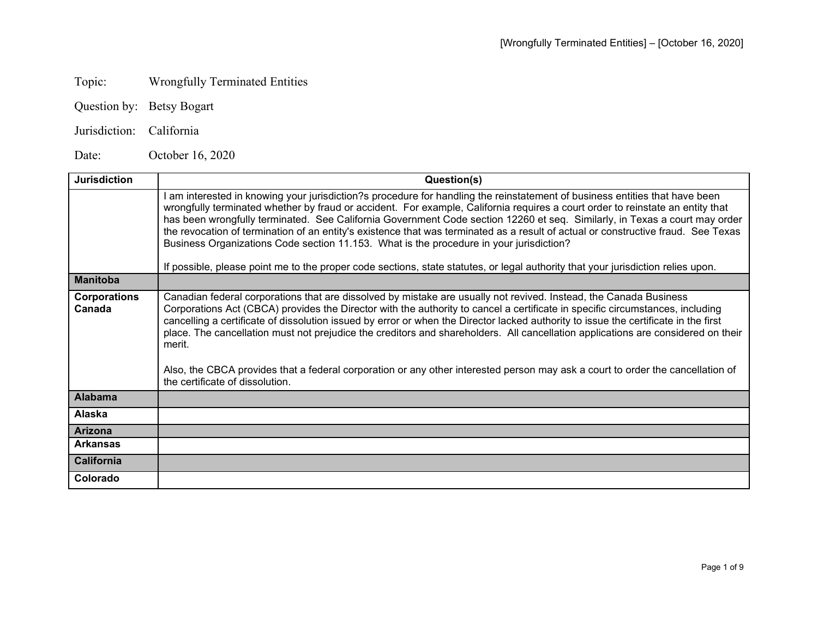## Topic: Wrongfully Terminated Entities

- Question by: Betsy Bogart
- Jurisdiction: California

Date: October 16, 2020

| <b>Jurisdiction</b>           | Question(s)                                                                                                                                                                                                                                                                                                                                                                                                                                                                                                                                                                                                                                                                                                                                                   |
|-------------------------------|---------------------------------------------------------------------------------------------------------------------------------------------------------------------------------------------------------------------------------------------------------------------------------------------------------------------------------------------------------------------------------------------------------------------------------------------------------------------------------------------------------------------------------------------------------------------------------------------------------------------------------------------------------------------------------------------------------------------------------------------------------------|
|                               | am interested in knowing your jurisdiction?s procedure for handling the reinstatement of business entities that have been<br>wrongfully terminated whether by fraud or accident. For example, California requires a court order to reinstate an entity that<br>has been wrongfully terminated. See California Government Code section 12260 et seq. Similarly, in Texas a court may order<br>the revocation of termination of an entity's existence that was terminated as a result of actual or constructive fraud. See Texas<br>Business Organizations Code section 11.153. What is the procedure in your jurisdiction?<br>If possible, please point me to the proper code sections, state statutes, or legal authority that your jurisdiction relies upon. |
| <b>Manitoba</b>               |                                                                                                                                                                                                                                                                                                                                                                                                                                                                                                                                                                                                                                                                                                                                                               |
| <b>Corporations</b><br>Canada | Canadian federal corporations that are dissolved by mistake are usually not revived. Instead, the Canada Business<br>Corporations Act (CBCA) provides the Director with the authority to cancel a certificate in specific circumstances, including<br>cancelling a certificate of dissolution issued by error or when the Director lacked authority to issue the certificate in the first<br>place. The cancellation must not prejudice the creditors and shareholders. All cancellation applications are considered on their<br>merit.<br>Also, the CBCA provides that a federal corporation or any other interested person may ask a court to order the cancellation of<br>the certificate of dissolution.                                                  |
| <b>Alabama</b>                |                                                                                                                                                                                                                                                                                                                                                                                                                                                                                                                                                                                                                                                                                                                                                               |
| <b>Alaska</b>                 |                                                                                                                                                                                                                                                                                                                                                                                                                                                                                                                                                                                                                                                                                                                                                               |
| <b>Arizona</b>                |                                                                                                                                                                                                                                                                                                                                                                                                                                                                                                                                                                                                                                                                                                                                                               |
| <b>Arkansas</b>               |                                                                                                                                                                                                                                                                                                                                                                                                                                                                                                                                                                                                                                                                                                                                                               |
| <b>California</b>             |                                                                                                                                                                                                                                                                                                                                                                                                                                                                                                                                                                                                                                                                                                                                                               |
| Colorado                      |                                                                                                                                                                                                                                                                                                                                                                                                                                                                                                                                                                                                                                                                                                                                                               |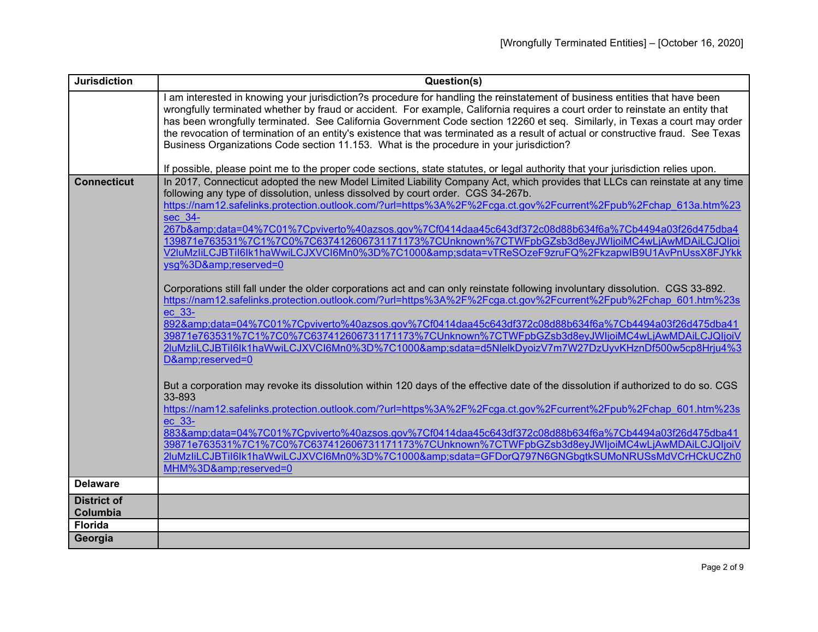| <b>Jurisdiction</b> | Question(s)                                                                                                                                                                                                                                                     |
|---------------------|-----------------------------------------------------------------------------------------------------------------------------------------------------------------------------------------------------------------------------------------------------------------|
|                     | I am interested in knowing your jurisdiction?s procedure for handling the reinstatement of business entities that have been                                                                                                                                     |
|                     | wrongfully terminated whether by fraud or accident. For example, California requires a court order to reinstate an entity that                                                                                                                                  |
|                     | has been wrongfully terminated. See California Government Code section 12260 et seq. Similarly, in Texas a court may order<br>the revocation of termination of an entity's existence that was terminated as a result of actual or constructive fraud. See Texas |
|                     | Business Organizations Code section 11.153. What is the procedure in your jurisdiction?                                                                                                                                                                         |
|                     |                                                                                                                                                                                                                                                                 |
|                     | If possible, please point me to the proper code sections, state statutes, or legal authority that your jurisdiction relies upon.                                                                                                                                |
| <b>Connecticut</b>  | In 2017, Connecticut adopted the new Model Limited Liability Company Act, which provides that LLCs can reinstate at any time                                                                                                                                    |
|                     | following any type of dissolution, unless dissolved by court order. CGS 34-267b.                                                                                                                                                                                |
|                     | https://nam12.safelinks.protection.outlook.com/?url=https%3A%2F%2Fcga.ct.gov%2Fcurrent%2Fpub%2Fchap 613a.htm%23                                                                                                                                                 |
|                     | sec 34-                                                                                                                                                                                                                                                         |
|                     | 267b&data=04%7C01%7Cpviverto%40azsos.gov%7Cf0414daa45c643df372c08d88b634f6a%7Cb4494a03f26d475dba4<br>139871e763531%7C1%7C0%7C637412606731171173%7CUnknown%7CTWFpbGZsb3d8eyJWljoiMC4wLjAwMDAiLCJQljoi                                                            |
|                     | V2luMzliLCJBTil6lk1haWwiLCJXVCl6Mn0%3D%7C1000&sdata=vTReSOzeF9zruFQ%2FkzapwIB9U1AvPnUssX8FJYkk                                                                                                                                                                  |
|                     | ysg%3D&reserved=0                                                                                                                                                                                                                                               |
|                     |                                                                                                                                                                                                                                                                 |
|                     | Corporations still fall under the older corporations act and can only reinstate following involuntary dissolution. CGS 33-892.                                                                                                                                  |
|                     | https://nam12.safelinks.protection.outlook.com/?url=https%3A%2F%2Fcga.ct.gov%2Fcurrent%2Fpub%2Fchap_601.htm%23s                                                                                                                                                 |
|                     | ec 33-                                                                                                                                                                                                                                                          |
|                     | 892&data=04%7C01%7Cpviverto%40azsos.gov%7Cf0414daa45c643df372c08d88b634f6a%7Cb4494a03f26d475dba41                                                                                                                                                               |
|                     | 39871e763531%7C1%7C0%7C637412606731171173%7CUnknown%7CTWFpbGZsb3d8eyJWljoiMC4wLjAwMDAiLCJQIjoiV                                                                                                                                                                 |
|                     | 2luMzliLCJBTil6lk1haWwiLCJXVCl6Mn0%3D%7C1000&sdata=d5NlelkDyoizV7m7W27DzUyvKHznDf500w5cp8Hrju4%3                                                                                                                                                                |
|                     | D&reserved=0                                                                                                                                                                                                                                                    |
|                     |                                                                                                                                                                                                                                                                 |
|                     | But a corporation may revoke its dissolution within 120 days of the effective date of the dissolution if authorized to do so. CGS<br>33-893                                                                                                                     |
|                     | https://nam12.safelinks.protection.outlook.com/?url=https%3A%2F%2Fcga.ct.gov%2Fcurrent%2Fpub%2Fchap 601.htm%23s                                                                                                                                                 |
|                     | ec 33-                                                                                                                                                                                                                                                          |
|                     | 883&data=04%7C01%7Cpviverto%40azsos.gov%7Cf0414daa45c643df372c08d88b634f6a%7Cb4494a03f26d475dba41                                                                                                                                                               |
|                     | 39871e763531%7C1%7C0%7C637412606731171173%7CUnknown%7CTWFpbGZsb3d8eyJWljoiMC4wLjAwMDAiLCJQljoiV                                                                                                                                                                 |
|                     | 2luMzliLCJBTil6lk1haWwiLCJXVCl6Mn0%3D%7C1000&sdata=GFDorQ797N6GNGbgtkSUMoNRUSsMdVCrHCkUCZh0                                                                                                                                                                     |
|                     | MHM%3D&reserved=0                                                                                                                                                                                                                                               |
| <b>Delaware</b>     |                                                                                                                                                                                                                                                                 |
| <b>District of</b>  |                                                                                                                                                                                                                                                                 |
| Columbia            |                                                                                                                                                                                                                                                                 |
| <b>Florida</b>      |                                                                                                                                                                                                                                                                 |
| Georgia             |                                                                                                                                                                                                                                                                 |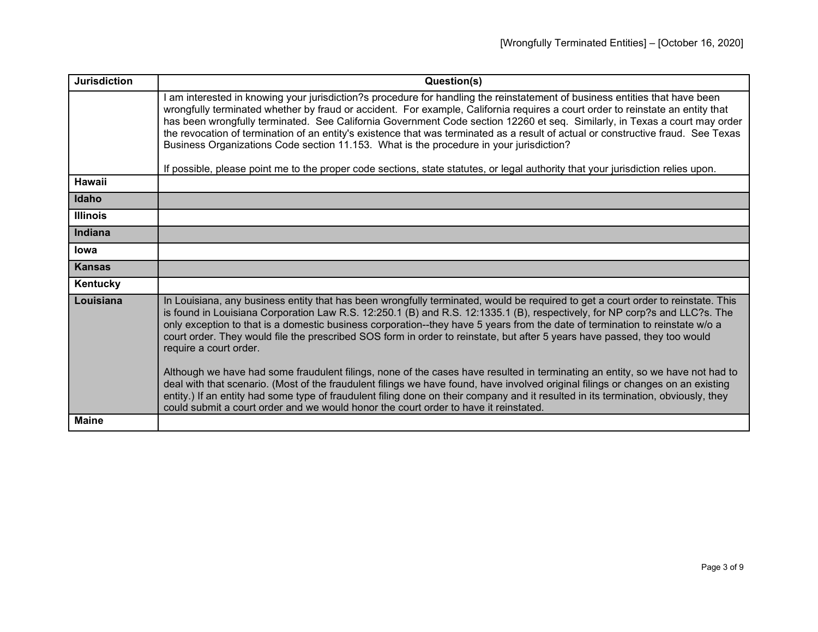| <b>Jurisdiction</b> | Question(s)                                                                                                                                                                                                                                                                                                                                                                                                                                                                                                                                                                                                                                                                                                                                                     |
|---------------------|-----------------------------------------------------------------------------------------------------------------------------------------------------------------------------------------------------------------------------------------------------------------------------------------------------------------------------------------------------------------------------------------------------------------------------------------------------------------------------------------------------------------------------------------------------------------------------------------------------------------------------------------------------------------------------------------------------------------------------------------------------------------|
|                     | I am interested in knowing your jurisdiction?s procedure for handling the reinstatement of business entities that have been<br>wrongfully terminated whether by fraud or accident. For example, California requires a court order to reinstate an entity that<br>has been wrongfully terminated. See California Government Code section 12260 et seq. Similarly, in Texas a court may order<br>the revocation of termination of an entity's existence that was terminated as a result of actual or constructive fraud. See Texas<br>Business Organizations Code section 11.153. What is the procedure in your jurisdiction?<br>If possible, please point me to the proper code sections, state statutes, or legal authority that your jurisdiction relies upon. |
| Hawaii              |                                                                                                                                                                                                                                                                                                                                                                                                                                                                                                                                                                                                                                                                                                                                                                 |
| Idaho               |                                                                                                                                                                                                                                                                                                                                                                                                                                                                                                                                                                                                                                                                                                                                                                 |
| <b>Illinois</b>     |                                                                                                                                                                                                                                                                                                                                                                                                                                                                                                                                                                                                                                                                                                                                                                 |
| Indiana             |                                                                                                                                                                                                                                                                                                                                                                                                                                                                                                                                                                                                                                                                                                                                                                 |
| lowa                |                                                                                                                                                                                                                                                                                                                                                                                                                                                                                                                                                                                                                                                                                                                                                                 |
| <b>Kansas</b>       |                                                                                                                                                                                                                                                                                                                                                                                                                                                                                                                                                                                                                                                                                                                                                                 |
| Kentucky            |                                                                                                                                                                                                                                                                                                                                                                                                                                                                                                                                                                                                                                                                                                                                                                 |
| Louisiana           | In Louisiana, any business entity that has been wrongfully terminated, would be required to get a court order to reinstate. This<br>is found in Louisiana Corporation Law R.S. 12:250.1 (B) and R.S. 12:1335.1 (B), respectively, for NP corp?s and LLC?s. The<br>only exception to that is a domestic business corporation--they have 5 years from the date of termination to reinstate w/o a<br>court order. They would file the prescribed SOS form in order to reinstate, but after 5 years have passed, they too would<br>require a court order.                                                                                                                                                                                                           |
|                     | Although we have had some fraudulent filings, none of the cases have resulted in terminating an entity, so we have not had to<br>deal with that scenario. (Most of the fraudulent filings we have found, have involved original filings or changes on an existing<br>entity.) If an entity had some type of fraudulent filing done on their company and it resulted in its termination, obviously, they<br>could submit a court order and we would honor the court order to have it reinstated.                                                                                                                                                                                                                                                                 |
| <b>Maine</b>        |                                                                                                                                                                                                                                                                                                                                                                                                                                                                                                                                                                                                                                                                                                                                                                 |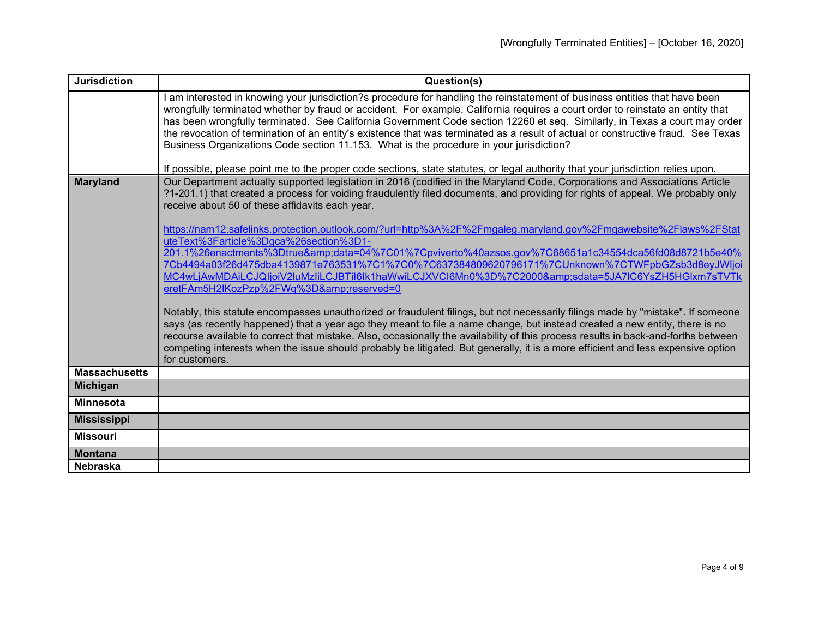| <b>Jurisdiction</b>  | Question(s)                                                                                                                                                                                                                                                                                                                                                                                                                                                                                                                                                                                                                 |
|----------------------|-----------------------------------------------------------------------------------------------------------------------------------------------------------------------------------------------------------------------------------------------------------------------------------------------------------------------------------------------------------------------------------------------------------------------------------------------------------------------------------------------------------------------------------------------------------------------------------------------------------------------------|
|                      | I am interested in knowing your jurisdiction?s procedure for handling the reinstatement of business entities that have been<br>wrongfully terminated whether by fraud or accident. For example, California requires a court order to reinstate an entity that<br>has been wrongfully terminated. See California Government Code section 12260 et seq. Similarly, in Texas a court may order<br>the revocation of termination of an entity's existence that was terminated as a result of actual or constructive fraud. See Texas<br>Business Organizations Code section 11.153. What is the procedure in your jurisdiction? |
|                      | If possible, please point me to the proper code sections, state statutes, or legal authority that your jurisdiction relies upon.                                                                                                                                                                                                                                                                                                                                                                                                                                                                                            |
| <b>Maryland</b>      | Our Department actually supported legislation in 2016 (codified in the Maryland Code, Corporations and Associations Article<br>?1-201.1) that created a process for voiding fraudulently filed documents, and providing for rights of appeal. We probably only<br>receive about 50 of these affidavits each year.                                                                                                                                                                                                                                                                                                           |
|                      | https://nam12.safelinks.protection.outlook.com/?url=http%3A%2F%2Fmgaleg.maryland.gov%2Fmgawebsite%2Flaws%2FStat<br>uteText%3Farticle%3Dgca%26section%3D1-                                                                                                                                                                                                                                                                                                                                                                                                                                                                   |
|                      | 201.1%26enactments%3Dtrue&data=04%7C01%7Cpviverto%40azsos.gov%7C68651a1c34554dca56fd08d8721b5e40%                                                                                                                                                                                                                                                                                                                                                                                                                                                                                                                           |
|                      | 7Cb4494a03f26d475dba4139871e763531%7C1%7C0%7C637384809620796171%7CUnknown%7CTWFpbGZsb3d8eyJWljoi<br>MC4wLjAwMDAiLCJQljoiV2luMzliLCJBTil6lk1haWwiLCJXVCl6Mn0%3D%7C2000&sdata=5JA7lC6YsZH5HGlxm7sTVTk                                                                                                                                                                                                                                                                                                                                                                                                                         |
|                      | eretFAm5H2IKozPzp%2FWg%3D&reserved=0                                                                                                                                                                                                                                                                                                                                                                                                                                                                                                                                                                                        |
|                      | Notably, this statute encompasses unauthorized or fraudulent filings, but not necessarily filings made by "mistake". If someone<br>says (as recently happened) that a year ago they meant to file a name change, but instead created a new entity, there is no<br>recourse available to correct that mistake. Also, occasionally the availability of this process results in back-and-forths between<br>competing interests when the issue should probably be litigated. But generally, it is a more efficient and less expensive option<br>for customers.                                                                  |
| <b>Massachusetts</b> |                                                                                                                                                                                                                                                                                                                                                                                                                                                                                                                                                                                                                             |
| <b>Michigan</b>      |                                                                                                                                                                                                                                                                                                                                                                                                                                                                                                                                                                                                                             |
| <b>Minnesota</b>     |                                                                                                                                                                                                                                                                                                                                                                                                                                                                                                                                                                                                                             |
| <b>Mississippi</b>   |                                                                                                                                                                                                                                                                                                                                                                                                                                                                                                                                                                                                                             |
| <b>Missouri</b>      |                                                                                                                                                                                                                                                                                                                                                                                                                                                                                                                                                                                                                             |
| <b>Montana</b>       |                                                                                                                                                                                                                                                                                                                                                                                                                                                                                                                                                                                                                             |
| <b>Nebraska</b>      |                                                                                                                                                                                                                                                                                                                                                                                                                                                                                                                                                                                                                             |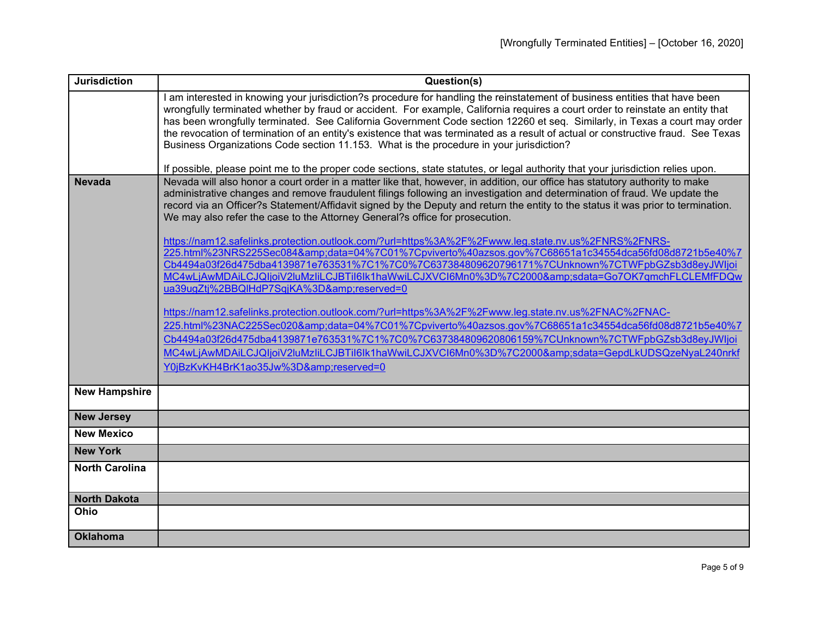| <b>Jurisdiction</b>   | Question(s)                                                                                                                                                                                                                                                    |
|-----------------------|----------------------------------------------------------------------------------------------------------------------------------------------------------------------------------------------------------------------------------------------------------------|
|                       | I am interested in knowing your jurisdiction?s procedure for handling the reinstatement of business entities that have been                                                                                                                                    |
|                       | wrongfully terminated whether by fraud or accident. For example, California requires a court order to reinstate an entity that<br>has been wrongfully terminated. See California Government Code section 12260 et seq. Similarly, in Texas a court may order   |
|                       | the revocation of termination of an entity's existence that was terminated as a result of actual or constructive fraud. See Texas                                                                                                                              |
|                       | Business Organizations Code section 11.153. What is the procedure in your jurisdiction?                                                                                                                                                                        |
|                       |                                                                                                                                                                                                                                                                |
|                       | If possible, please point me to the proper code sections, state statutes, or legal authority that your jurisdiction relies upon.                                                                                                                               |
| <b>Nevada</b>         | Nevada will also honor a court order in a matter like that, however, in addition, our office has statutory authority to make                                                                                                                                   |
|                       | administrative changes and remove fraudulent filings following an investigation and determination of fraud. We update the<br>record via an Officer?s Statement/Affidavit signed by the Deputy and return the entity to the status it was prior to termination. |
|                       | We may also refer the case to the Attorney General?s office for prosecution.                                                                                                                                                                                   |
|                       |                                                                                                                                                                                                                                                                |
|                       | https://nam12.safelinks.protection.outlook.com/?url=https%3A%2F%2Fwww.leg.state.nv.us%2FNRS%2FNRS-                                                                                                                                                             |
|                       | 225.html%23NRS225Sec084&data=04%7C01%7Cpviverto%40azsos.gov%7C68651a1c34554dca56fd08d8721b5e40%7                                                                                                                                                               |
|                       | Cb4494a03f26d475dba4139871e763531%7C1%7C0%7C637384809620796171%7CUnknown%7CTWFpbGZsb3d8eyJWljoi                                                                                                                                                                |
|                       | MC4wLjAwMDAiLCJQljoiV2luMzliLCJBTil6lk1haWwiLCJXVCl6Mn0%3D%7C2000&sdata=Go7OK7qmchFLCLEMfFDQw                                                                                                                                                                  |
|                       | ua39ugZtj%2BBQlHdP7SqjKA%3D&reserved=0                                                                                                                                                                                                                         |
|                       | https://nam12.safelinks.protection.outlook.com/?url=https%3A%2F%2Fwww.leg.state.nv.us%2FNAC%2FNAC-                                                                                                                                                             |
|                       | 225.html%23NAC225Sec020&data=04%7C01%7Cpviverto%40azsos.gov%7C68651a1c34554dca56fd08d8721b5e40%7                                                                                                                                                               |
|                       | Cb4494a03f26d475dba4139871e763531%7C1%7C0%7C637384809620806159%7CUnknown%7CTWFpbGZsb3d8eyJWljoi                                                                                                                                                                |
|                       | MC4wLjAwMDAiLCJQIjoiV2luMzliLCJBTil6lk1haWwiLCJXVCl6Mn0%3D%7C2000&sdata=GepdLkUDSQzeNyaL240nrkf                                                                                                                                                                |
|                       | Y0jBzKvKH4BrK1ao35Jw%3D&reserved=0                                                                                                                                                                                                                             |
|                       |                                                                                                                                                                                                                                                                |
| <b>New Hampshire</b>  |                                                                                                                                                                                                                                                                |
|                       |                                                                                                                                                                                                                                                                |
| <b>New Jersey</b>     |                                                                                                                                                                                                                                                                |
| <b>New Mexico</b>     |                                                                                                                                                                                                                                                                |
| <b>New York</b>       |                                                                                                                                                                                                                                                                |
| <b>North Carolina</b> |                                                                                                                                                                                                                                                                |
|                       |                                                                                                                                                                                                                                                                |
| <b>North Dakota</b>   |                                                                                                                                                                                                                                                                |
| Ohio                  |                                                                                                                                                                                                                                                                |
|                       |                                                                                                                                                                                                                                                                |
| <b>Oklahoma</b>       |                                                                                                                                                                                                                                                                |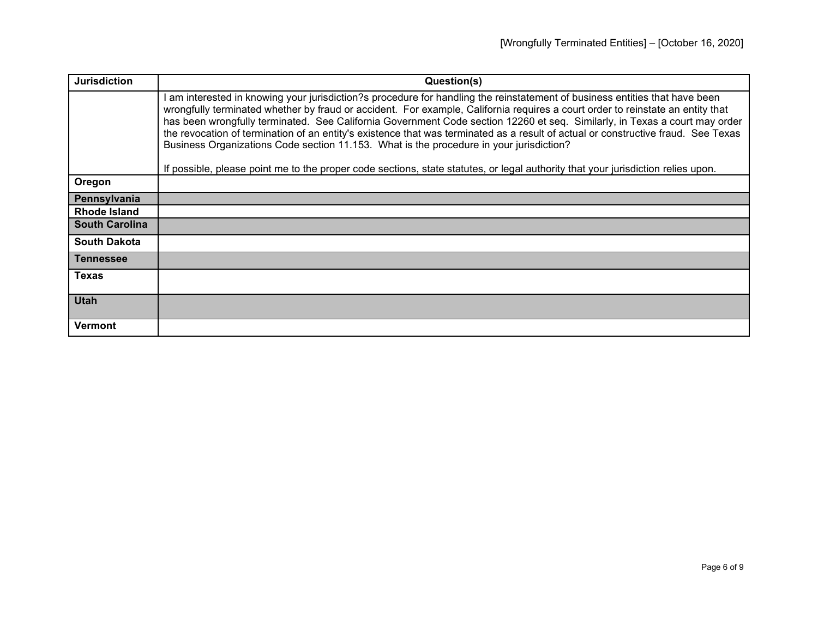| <b>Jurisdiction</b>   | Question(s)                                                                                                                                                                                                                                                                                                                                                                                                                                                                                                                                                                                                                                                                                                                                                     |
|-----------------------|-----------------------------------------------------------------------------------------------------------------------------------------------------------------------------------------------------------------------------------------------------------------------------------------------------------------------------------------------------------------------------------------------------------------------------------------------------------------------------------------------------------------------------------------------------------------------------------------------------------------------------------------------------------------------------------------------------------------------------------------------------------------|
|                       | I am interested in knowing your jurisdiction?s procedure for handling the reinstatement of business entities that have been<br>wrongfully terminated whether by fraud or accident. For example, California requires a court order to reinstate an entity that<br>has been wrongfully terminated. See California Government Code section 12260 et seq. Similarly, in Texas a court may order<br>the revocation of termination of an entity's existence that was terminated as a result of actual or constructive fraud. See Texas<br>Business Organizations Code section 11.153. What is the procedure in your jurisdiction?<br>If possible, please point me to the proper code sections, state statutes, or legal authority that your jurisdiction relies upon. |
| Oregon                |                                                                                                                                                                                                                                                                                                                                                                                                                                                                                                                                                                                                                                                                                                                                                                 |
| Pennsylvania          |                                                                                                                                                                                                                                                                                                                                                                                                                                                                                                                                                                                                                                                                                                                                                                 |
| Rhode Island          |                                                                                                                                                                                                                                                                                                                                                                                                                                                                                                                                                                                                                                                                                                                                                                 |
| <b>South Carolina</b> |                                                                                                                                                                                                                                                                                                                                                                                                                                                                                                                                                                                                                                                                                                                                                                 |
| <b>South Dakota</b>   |                                                                                                                                                                                                                                                                                                                                                                                                                                                                                                                                                                                                                                                                                                                                                                 |
| Tennessee             |                                                                                                                                                                                                                                                                                                                                                                                                                                                                                                                                                                                                                                                                                                                                                                 |
| <b>Texas</b>          |                                                                                                                                                                                                                                                                                                                                                                                                                                                                                                                                                                                                                                                                                                                                                                 |
| <b>Utah</b>           |                                                                                                                                                                                                                                                                                                                                                                                                                                                                                                                                                                                                                                                                                                                                                                 |
| Vermont               |                                                                                                                                                                                                                                                                                                                                                                                                                                                                                                                                                                                                                                                                                                                                                                 |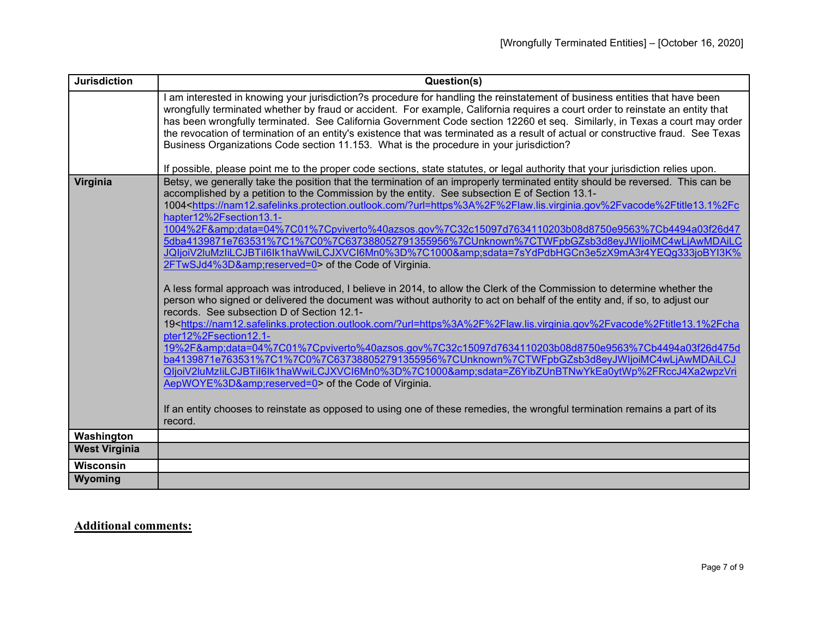| <b>Jurisdiction</b>  | Question(s)                                                                                                                                                                                                                                                                                                                                                                                                                                                                                                                                                                                                                                                                                                                                                                                                                                                                                                                                                                                                                                                                                                                                                                                                                                                                                                                                                                                                                                                                                                                                                                                                                                                                                                                                                                            |
|----------------------|----------------------------------------------------------------------------------------------------------------------------------------------------------------------------------------------------------------------------------------------------------------------------------------------------------------------------------------------------------------------------------------------------------------------------------------------------------------------------------------------------------------------------------------------------------------------------------------------------------------------------------------------------------------------------------------------------------------------------------------------------------------------------------------------------------------------------------------------------------------------------------------------------------------------------------------------------------------------------------------------------------------------------------------------------------------------------------------------------------------------------------------------------------------------------------------------------------------------------------------------------------------------------------------------------------------------------------------------------------------------------------------------------------------------------------------------------------------------------------------------------------------------------------------------------------------------------------------------------------------------------------------------------------------------------------------------------------------------------------------------------------------------------------------|
|                      | am interested in knowing your jurisdiction?s procedure for handling the reinstatement of business entities that have been<br>wrongfully terminated whether by fraud or accident. For example, California requires a court order to reinstate an entity that<br>has been wrongfully terminated. See California Government Code section 12260 et seq. Similarly, in Texas a court may order<br>the revocation of termination of an entity's existence that was terminated as a result of actual or constructive fraud. See Texas<br>Business Organizations Code section 11.153. What is the procedure in your jurisdiction?                                                                                                                                                                                                                                                                                                                                                                                                                                                                                                                                                                                                                                                                                                                                                                                                                                                                                                                                                                                                                                                                                                                                                              |
|                      | If possible, please point me to the proper code sections, state statutes, or legal authority that your jurisdiction relies upon.                                                                                                                                                                                                                                                                                                                                                                                                                                                                                                                                                                                                                                                                                                                                                                                                                                                                                                                                                                                                                                                                                                                                                                                                                                                                                                                                                                                                                                                                                                                                                                                                                                                       |
| Virginia             | Betsy, we generally take the position that the termination of an improperly terminated entity should be reversed. This can be<br>accomplished by a petition to the Commission by the entity. See subsection E of Section 13.1-<br>1004 <https: ?url="https%3A%2F%2Flaw.lis.virginia.gov%2Fvacode%2Ftitle13.1%2Fc&lt;br" nam12.safelinks.protection.outlook.com="">hapter12%2Fsection13.1-<br/>1004%2F&amp;data=04%7C01%7Cpviverto%40azsos.gov%7C32c15097d7634110203b08d8750e9563%7Cb4494a03f26d47<br/>5dba4139871e763531%7C1%7C0%7C637388052791355956%7CUnknown%7CTWFpbGZsb3d8eyJWljoiMC4wLjAwMDAiLC<br/>JQIjoiV2luMzIiLCJBTil6lk1haWwiLCJXVCl6Mn0%3D%7C1000&amp;sdata=7sYdPdbHGCn3e5zX9mA3r4YEQq333joBYI3K%<br/>2FTwSJd4%3D&amp;reserved=0&gt; of the Code of Virginia.<br/>A less formal approach was introduced, I believe in 2014, to allow the Clerk of the Commission to determine whether the<br/>person who signed or delivered the document was without authority to act on behalf of the entity and, if so, to adjust our<br/>records. See subsection D of Section 12.1-<br/>19<https: ?url="https%3A%2F%2Flaw.lis.virginia.gov%2Fvacode%2Ftitle13.1%2Fcha&lt;br" nam12.safelinks.protection.outlook.com="">pter12%2Fsection12.1-<br/>19%2F&amp;data=04%7C01%7Cpviverto%40azsos.gov%7C32c15097d7634110203b08d8750e9563%7Cb4494a03f26d475d<br/>ba4139871e763531%7C1%7C0%7C637388052791355956%7CUnknown%7CTWFpbGZsb3d8eyJWljoiMC4wLjAwMDAiLCJ<br/>QljoiV2luMzliLCJBTil6lk1haWwiLCJXVCl6Mn0%3D%7C1000&amp;sdata=Z6YibZUnBTNwYkEa0ytWp%2FRccJ4Xa2wpzVri<br/>AepWOYE%3D&amp;reserved=0&gt; of the Code of Virginia.<br/>If an entity chooses to reinstate as opposed to using one of these remedies, the wrongful termination remains a part of its<br/>record.</https:></https:> |
| Washington           |                                                                                                                                                                                                                                                                                                                                                                                                                                                                                                                                                                                                                                                                                                                                                                                                                                                                                                                                                                                                                                                                                                                                                                                                                                                                                                                                                                                                                                                                                                                                                                                                                                                                                                                                                                                        |
| <b>West Virginia</b> |                                                                                                                                                                                                                                                                                                                                                                                                                                                                                                                                                                                                                                                                                                                                                                                                                                                                                                                                                                                                                                                                                                                                                                                                                                                                                                                                                                                                                                                                                                                                                                                                                                                                                                                                                                                        |
| Wisconsin            |                                                                                                                                                                                                                                                                                                                                                                                                                                                                                                                                                                                                                                                                                                                                                                                                                                                                                                                                                                                                                                                                                                                                                                                                                                                                                                                                                                                                                                                                                                                                                                                                                                                                                                                                                                                        |
| Wyoming              |                                                                                                                                                                                                                                                                                                                                                                                                                                                                                                                                                                                                                                                                                                                                                                                                                                                                                                                                                                                                                                                                                                                                                                                                                                                                                                                                                                                                                                                                                                                                                                                                                                                                                                                                                                                        |

## **Additional comments:**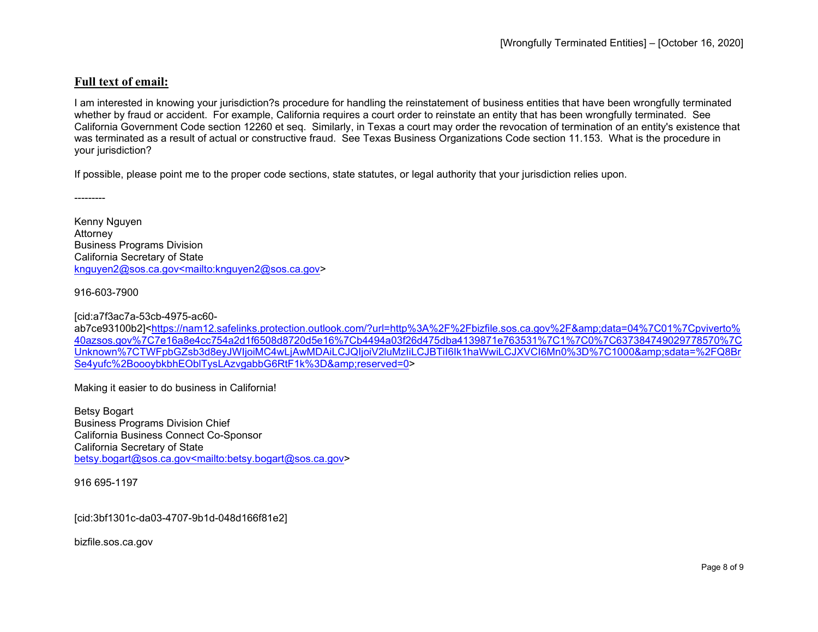## **Full text of email:**

I am interested in knowing your jurisdiction?s procedure for handling the reinstatement of business entities that have been wrongfully terminated whether by fraud or accident. For example, California requires a court order to reinstate an entity that has been wrongfully terminated. See California Government Code section 12260 et seq. Similarly, in Texas a court may order the revocation of termination of an entity's existence that was terminated as a result of actual or constructive fraud. See Texas Business Organizations Code section 11.153. What is the procedure in your jurisdiction?

If possible, please point me to the proper code sections, state statutes, or legal authority that your jurisdiction relies upon.

Kenny Nguyen Attorney Business Programs Division California Secretary of State [knguyen2@sos.ca.gov<mailto:knguyen2@sos.ca.gov>](mailto:knguyen2@sos.ca.gov%3cmailto:knguyen2@sos.ca.gov)

916-603-7900

---------

[cid:a7f3ac7a-53cb-4975-ac60-

ab7ce93100b2][<https://nam12.safelinks.protection.outlook.com/?url=http%3A%2F%2Fbizfile.sos.ca.gov%2F&amp;data=04%7C01%7Cpviverto%](https://nam12.safelinks.protection.outlook.com/?url=http%3A%2F%2Fbizfile.sos.ca.gov%2F&data=04%7C01%7Cpviverto%40azsos.gov%7C7e16a8e4cc754a2d1f6508d8720d5e16%7Cb4494a03f26d475dba4139871e763531%7C1%7C0%7C637384749029778570%7CUnknown%7CTWFpbGZsb3d8eyJWIjoiMC4wLjAwMDAiLCJQIjoiV2luMzIiLCJBTiI6Ik1haWwiLCJXVCI6Mn0%3D%7C1000&sdata=%2FQ8BrSe4yufc%2BoooybkbhEOblTysLAzvgabbG6RtF1k%3D&reserved=0) [40azsos.gov%7C7e16a8e4cc754a2d1f6508d8720d5e16%7Cb4494a03f26d475dba4139871e763531%7C1%7C0%7C637384749029778570%7C](https://nam12.safelinks.protection.outlook.com/?url=http%3A%2F%2Fbizfile.sos.ca.gov%2F&data=04%7C01%7Cpviverto%40azsos.gov%7C7e16a8e4cc754a2d1f6508d8720d5e16%7Cb4494a03f26d475dba4139871e763531%7C1%7C0%7C637384749029778570%7CUnknown%7CTWFpbGZsb3d8eyJWIjoiMC4wLjAwMDAiLCJQIjoiV2luMzIiLCJBTiI6Ik1haWwiLCJXVCI6Mn0%3D%7C1000&sdata=%2FQ8BrSe4yufc%2BoooybkbhEOblTysLAzvgabbG6RtF1k%3D&reserved=0) [Unknown%7CTWFpbGZsb3d8eyJWIjoiMC4wLjAwMDAiLCJQIjoiV2luMzIiLCJBTiI6Ik1haWwiLCJXVCI6Mn0%3D%7C1000&sdata=%2FQ8Br](https://nam12.safelinks.protection.outlook.com/?url=http%3A%2F%2Fbizfile.sos.ca.gov%2F&data=04%7C01%7Cpviverto%40azsos.gov%7C7e16a8e4cc754a2d1f6508d8720d5e16%7Cb4494a03f26d475dba4139871e763531%7C1%7C0%7C637384749029778570%7CUnknown%7CTWFpbGZsb3d8eyJWIjoiMC4wLjAwMDAiLCJQIjoiV2luMzIiLCJBTiI6Ik1haWwiLCJXVCI6Mn0%3D%7C1000&sdata=%2FQ8BrSe4yufc%2BoooybkbhEOblTysLAzvgabbG6RtF1k%3D&reserved=0) Se4yufc%2BoooybkbhEOblTysLAzygabbG6RtF1k%3D&amp:reserved=0>

Making it easier to do business in California!

Betsy Bogart Business Programs Division Chief California Business Connect Co-Sponsor California Secretary of State [betsy.bogart@sos.ca.gov<mailto:betsy.bogart@sos.ca.gov>](mailto:betsy.bogart@sos.ca.gov%3cmailto:betsy.bogart@sos.ca.gov)

916 695-1197

[cid:3bf1301c-da03-4707-9b1d-048d166f81e2]

bizfile.sos.ca.gov